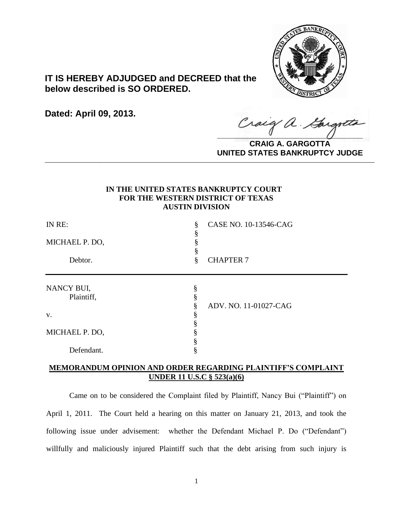

# **IT IS HEREBY ADJUDGED and DECREED that the below described is SO ORDERED.**

**Dated: April 09, 2013.**

Craig a. Gargott

**CRAIG A. GARGOTTA UNITED STATES BANKRUPTCY JUDGE PRITED DIATED BARRACT TOT 00DCE** 

# **IN THE UNITED STATES BANKRUPTCY COURT FOR THE WESTERN DISTRICT OF TEXAS AUSTIN DIVISION**

| IN RE:<br>MICHAEL P. DO,<br>Debtor. | ş<br>ş | CASE NO. 10-13546-CAG<br><b>CHAPTER 7</b> |            |   |  |
|-------------------------------------|--------|-------------------------------------------|------------|---|--|
|                                     |        |                                           | NANCY BUI, | § |  |
|                                     |        |                                           | Plaintiff, |   |  |
|                                     | 0      | ADV. NO. 11-01027-CAG                     |            |   |  |
| V.                                  |        |                                           |            |   |  |
|                                     |        |                                           |            |   |  |
| MICHAEL P. DO,                      |        |                                           |            |   |  |
|                                     |        |                                           |            |   |  |
| Defendant.                          |        |                                           |            |   |  |

# **MEMORANDUM OPINION AND ORDER REGARDING PLAINTIFF'S COMPLAINT UNDER 11 U.S.C § 523(a)(6)**

Came on to be considered the Complaint filed by Plaintiff, Nancy Bui ("Plaintiff") on April 1, 2011. The Court held a hearing on this matter on January 21, 2013, and took the following issue under advisement: whether the Defendant Michael P. Do ("Defendant") willfully and maliciously injured Plaintiff such that the debt arising from such injury is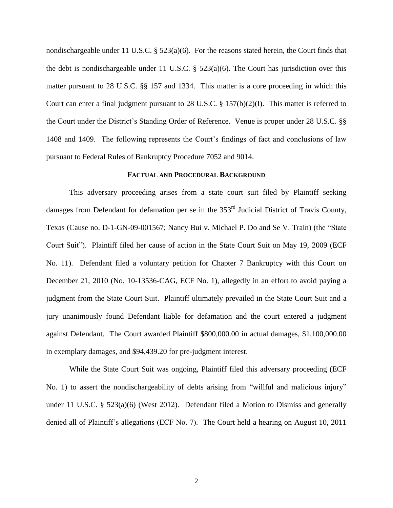nondischargeable under 11 U.S.C. § 523(a)(6). For the reasons stated herein, the Court finds that the debt is nondischargeable under 11 U.S.C.  $\S$  523(a)(6). The Court has jurisdiction over this matter pursuant to 28 U.S.C. §§ 157 and 1334. This matter is a core proceeding in which this Court can enter a final judgment pursuant to 28 U.S.C.  $\S 157(b)(2)(I)$ . This matter is referred to the Court under the District's Standing Order of Reference. Venue is proper under 28 U.S.C. §§ 1408 and 1409. The following represents the Court's findings of fact and conclusions of law pursuant to Federal Rules of Bankruptcy Procedure 7052 and 9014.

#### **FACTUAL AND PROCEDURAL BACKGROUND**

This adversary proceeding arises from a state court suit filed by Plaintiff seeking damages from Defendant for defamation per se in the 353<sup>rd</sup> Judicial District of Travis County, Texas (Cause no. D-1-GN-09-001567; Nancy Bui v. Michael P. Do and Se V. Train) (the "State Court Suit"). Plaintiff filed her cause of action in the State Court Suit on May 19, 2009 (ECF No. 11). Defendant filed a voluntary petition for Chapter 7 Bankruptcy with this Court on December 21, 2010 (No. 10-13536-CAG, ECF No. 1), allegedly in an effort to avoid paying a judgment from the State Court Suit. Plaintiff ultimately prevailed in the State Court Suit and a jury unanimously found Defendant liable for defamation and the court entered a judgment against Defendant. The Court awarded Plaintiff \$800,000.00 in actual damages, \$1,100,000.00 in exemplary damages, and \$94,439.20 for pre-judgment interest.

While the State Court Suit was ongoing, Plaintiff filed this adversary proceeding (ECF No. 1) to assert the nondischargeability of debts arising from "willful and malicious injury" under 11 U.S.C. §  $523(a)(6)$  (West 2012). Defendant filed a Motion to Dismiss and generally denied all of Plaintiff's allegations (ECF No. 7). The Court held a hearing on August 10, 2011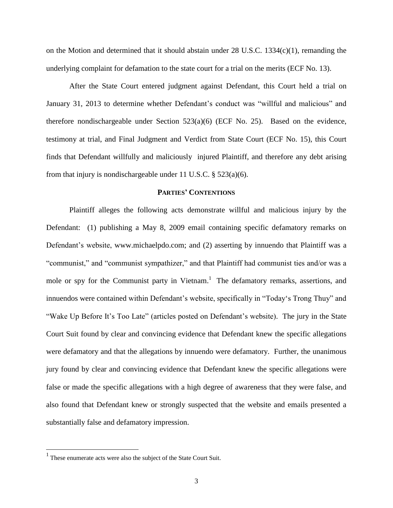on the Motion and determined that it should abstain under  $28 \text{ U.S.C. } 1334(c)(1)$ , remanding the underlying complaint for defamation to the state court for a trial on the merits (ECF No. 13).

After the State Court entered judgment against Defendant, this Court held a trial on January 31, 2013 to determine whether Defendant's conduct was "willful and malicious" and therefore nondischargeable under Section 523(a)(6) (ECF No. 25). Based on the evidence, testimony at trial, and Final Judgment and Verdict from State Court (ECF No. 15), this Court finds that Defendant willfully and maliciously injured Plaintiff, and therefore any debt arising from that injury is nondischargeable under 11 U.S.C.  $\S$  523(a)(6).

## **PARTIES' CONTENTIONS**

Plaintiff alleges the following acts demonstrate willful and malicious injury by the Defendant: (1) publishing a May 8, 2009 email containing specific defamatory remarks on Defendant's website, www.michaelpdo.com; and (2) asserting by innuendo that Plaintiff was a "communist," and "communist sympathizer," and that Plaintiff had communist ties and/or was a mole or spy for the Communist party in Vietnam.<sup>1</sup> The defamatory remarks, assertions, and innuendos were contained within Defendant's website, specifically in "Today's Trong Thuy" and "Wake Up Before It's Too Late" (articles posted on Defendant's website). The jury in the State Court Suit found by clear and convincing evidence that Defendant knew the specific allegations were defamatory and that the allegations by innuendo were defamatory. Further, the unanimous jury found by clear and convincing evidence that Defendant knew the specific allegations were false or made the specific allegations with a high degree of awareness that they were false, and also found that Defendant knew or strongly suspected that the website and emails presented a substantially false and defamatory impression.

<sup>&</sup>lt;sup>1</sup> These enumerate acts were also the subject of the State Court Suit.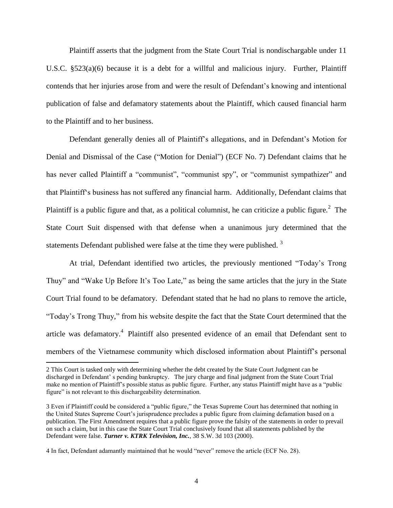Plaintiff asserts that the judgment from the State Court Trial is nondischargable under 11 U.S.C. §523(a)(6) because it is a debt for a willful and malicious injury. Further, Plaintiff contends that her injuries arose from and were the result of Defendant's knowing and intentional publication of false and defamatory statements about the Plaintiff, which caused financial harm to the Plaintiff and to her business.

Defendant generally denies all of Plaintiff's allegations, and in Defendant's Motion for Denial and Dismissal of the Case ("Motion for Denial") (ECF No. 7) Defendant claims that he has never called Plaintiff a "communist", "communist spy", or "communist sympathizer" and that Plaintiff's business has not suffered any financial harm. Additionally, Defendant claims that Plaintiff is a public figure and that, as a political columnist, he can criticize a public figure.<sup>2</sup> The State Court Suit dispensed with that defense when a unanimous jury determined that the statements Defendant published were false at the time they were published.  $3$ 

At trial, Defendant identified two articles, the previously mentioned "Today's Trong Thuy" and "Wake Up Before It's Too Late," as being the same articles that the jury in the State Court Trial found to be defamatory. Defendant stated that he had no plans to remove the article, "Today's Trong Thuy," from his website despite the fact that the State Court determined that the article was defamatory.<sup>4</sup> Plaintiff also presented evidence of an email that Defendant sent to members of the Vietnamese community which disclosed information about Plaintiff's personal

<sup>2</sup> This Court is tasked only with determining whether the debt created by the State Court Judgment can be discharged in Defendant' s pending bankruptcy. The jury charge and final judgment from the State Court Trial make no mention of Plaintiff's possible status as public figure. Further, any status Plaintiff might have as a "public figure" is not relevant to this dischargeability determination.

<sup>3</sup> Even if Plaintiff could be considered a "public figure," the Texas Supreme Court has determined that nothing in the United States Supreme Court's jurisprudence precludes a public figure from claiming defamation based on a publication. The First Amendment requires that a public figure prove the falsity of the statements in order to prevail on such a claim, but in this case the State Court Trial conclusively found that all statements published by the Defendant were false. *Turner v. KTRK Television, Inc.,* 38 S.W. 3d 103 (2000).

<sup>4</sup> In fact, Defendant adamantly maintained that he would "never" remove the article (ECF No. 28).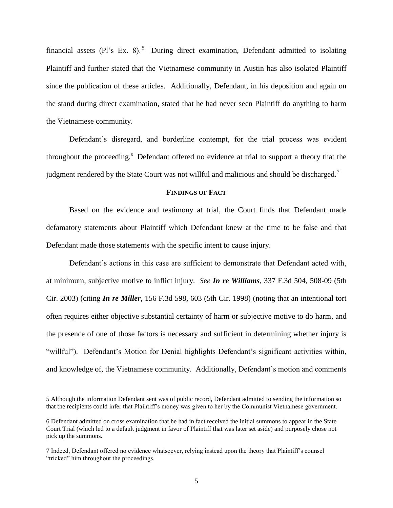financial assets (Pl's Ex. 8).<sup>5</sup> During direct examination, Defendant admitted to isolating Plaintiff and further stated that the Vietnamese community in Austin has also isolated Plaintiff since the publication of these articles. Additionally, Defendant, in his deposition and again on the stand during direct examination, stated that he had never seen Plaintiff do anything to harm the Vietnamese community.

Defendant's disregard, and borderline contempt, for the trial process was evident throughout the proceeding.<sup>6</sup> Defendant offered no evidence at trial to support a theory that the judgment rendered by the State Court was not willful and malicious and should be discharged.<sup>7</sup>

#### **FINDINGS OF FACT**

Based on the evidence and testimony at trial, the Court finds that Defendant made defamatory statements about Plaintiff which Defendant knew at the time to be false and that Defendant made those statements with the specific intent to cause injury.

Defendant's actions in this case are sufficient to demonstrate that Defendant acted with, at minimum, subjective motive to inflict injury. *See In re Williams*, 337 F.3d 504, 508-09 (5th Cir. 2003) (citing *In re Miller*, 156 F.3d 598, 603 (5th Cir. 1998) (noting that an intentional tort often requires either objective substantial certainty of harm or subjective motive to do harm, and the presence of one of those factors is necessary and sufficient in determining whether injury is "willful"). Defendant's Motion for Denial highlights Defendant's significant activities within, and knowledge of, the Vietnamese community. Additionally, Defendant's motion and comments

<sup>5</sup> Although the information Defendant sent was of public record, Defendant admitted to sending the information so that the recipients could infer that Plaintiff's money was given to her by the Communist Vietnamese government.

<sup>6</sup> Defendant admitted on cross examination that he had in fact received the initial summons to appear in the State Court Trial (which led to a default judgment in favor of Plaintiff that was later set aside) and purposely chose not pick up the summons.

<sup>7</sup> Indeed, Defendant offered no evidence whatsoever, relying instead upon the theory that Plaintiff's counsel "tricked" him throughout the proceedings.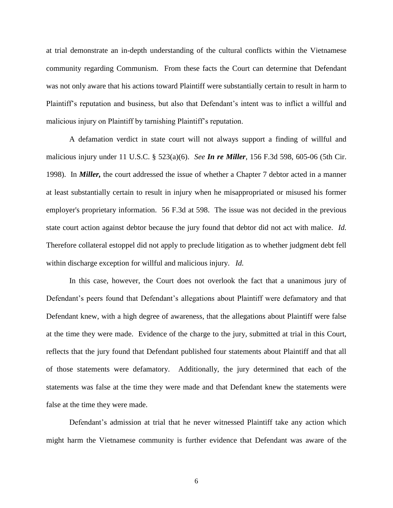at trial demonstrate an in-depth understanding of the cultural conflicts within the Vietnamese community regarding Communism. From these facts the Court can determine that Defendant was not only aware that his actions toward Plaintiff were substantially certain to result in harm to Plaintiff's reputation and business, but also that Defendant's intent was to inflict a willful and malicious injury on Plaintiff by tarnishing Plaintiff's reputation.

A defamation verdict in state court will not always support a finding of willful and malicious injury under 11 U.S.C. § 523(a)(6). *See In re Miller*, 156 F.3d 598, 605-06 (5th Cir. 1998). In *Miller,* the court addressed the issue of whether a Chapter 7 debtor acted in a manner at least substantially certain to result in injury when he misappropriated or misused his former employer's proprietary information. 56 F.3d at 598. The issue was not decided in the previous state court action against debtor because the jury found that debtor did not act with malice. *Id.* Therefore collateral estoppel did not apply to preclude litigation as to whether judgment debt fell within discharge exception for willful and malicious injury. *Id.*

In this case, however, the Court does not overlook the fact that a unanimous jury of Defendant's peers found that Defendant's allegations about Plaintiff were defamatory and that Defendant knew, with a high degree of awareness, that the allegations about Plaintiff were false at the time they were made. Evidence of the charge to the jury, submitted at trial in this Court, reflects that the jury found that Defendant published four statements about Plaintiff and that all of those statements were defamatory. Additionally, the jury determined that each of the statements was false at the time they were made and that Defendant knew the statements were false at the time they were made.

Defendant's admission at trial that he never witnessed Plaintiff take any action which might harm the Vietnamese community is further evidence that Defendant was aware of the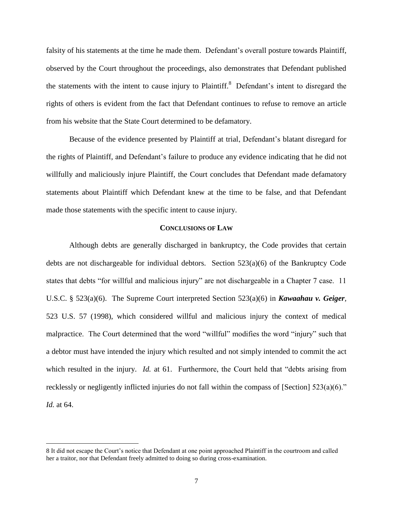falsity of his statements at the time he made them. Defendant's overall posture towards Plaintiff, observed by the Court throughout the proceedings, also demonstrates that Defendant published the statements with the intent to cause injury to Plaintiff.<sup>8</sup> Defendant's intent to disregard the rights of others is evident from the fact that Defendant continues to refuse to remove an article from his website that the State Court determined to be defamatory.

Because of the evidence presented by Plaintiff at trial, Defendant's blatant disregard for the rights of Plaintiff, and Defendant's failure to produce any evidence indicating that he did not willfully and maliciously injure Plaintiff, the Court concludes that Defendant made defamatory statements about Plaintiff which Defendant knew at the time to be false, and that Defendant made those statements with the specific intent to cause injury.

### **CONCLUSIONS OF LAW**

Although debts are generally discharged in bankruptcy, the Code provides that certain debts are not dischargeable for individual debtors. Section 523(a)(6) of the Bankruptcy Code states that debts "for willful and malicious injury" are not dischargeable in a Chapter 7 case. 11 U.S.C. § 523(a)(6). The Supreme Court interpreted Section 523(a)(6) in *Kawaahau v. Geiger,*  523 U.S. 57 (1998), which considered willful and malicious injury the context of medical malpractice. The Court determined that the word "willful" modifies the word "injury" such that a debtor must have intended the injury which resulted and not simply intended to commit the act which resulted in the injury. *Id.* at 61. Furthermore, the Court held that "debts arising from recklessly or negligently inflicted injuries do not fall within the compass of [Section] 523(a)(6)." *Id.* at 64.

<sup>8</sup> It did not escape the Court's notice that Defendant at one point approached Plaintiff in the courtroom and called her a traitor, nor that Defendant freely admitted to doing so during cross-examination.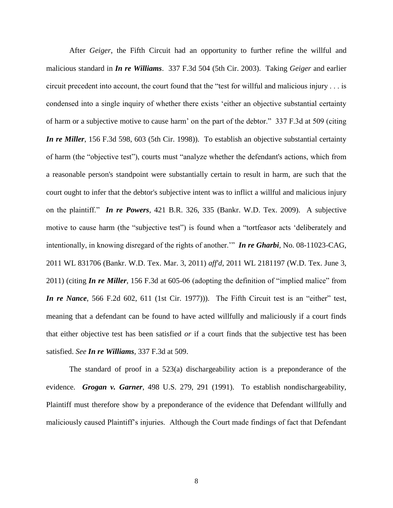After *Geiger*, the Fifth Circuit had an opportunity to further refine the willful and malicious standard in *In re Williams*. 337 F.3d 504 (5th Cir. 2003). Taking *Geiger* and earlier circuit precedent into account, the court found that the "test for willful and malicious injury . . . is condensed into a single inquiry of whether there exists 'either an objective substantial certainty of harm or a subjective motive to cause harm' on the part of the debtor." 337 F.3d at 509 (citing *In re Miller*, 156 F.3d 598, 603 (5th Cir. 1998)). To establish an objective substantial certainty of harm (the "objective test"), courts must "analyze whether the defendant's actions, which from a reasonable person's standpoint were substantially certain to result in harm, are such that the court ought to infer that the debtor's subjective intent was to inflict a willful and malicious injury on the plaintiff." *In re Powers*, 421 B.R. 326, 335 (Bankr. W.D. Tex. 2009). A subjective motive to cause harm (the "subjective test") is found when a "tortfeasor acts 'deliberately and intentionally, in knowing disregard of the rights of another.'" *In re Gharbi*, No. 08-11023-CAG, 2011 WL 831706 (Bankr. W.D. Tex. Mar. 3, 2011) *aff'd*, 2011 WL 2181197 (W.D. Tex. June 3, 2011) (citing *In re Miller*, 156 F.3d at 605-06 (adopting the definition of "implied malice" from *In re Nance*, 566 F.2d 602, 611 (1st Cir. 1977))). The Fifth Circuit test is an "either" test, meaning that a defendant can be found to have acted willfully and maliciously if a court finds that either objective test has been satisfied *or* if a court finds that the subjective test has been satisfied. *See In re Williams,* 337 F.3d at 509.

The standard of proof in a 523(a) dischargeability action is a preponderance of the evidence. *Grogan v. Garner*, 498 U.S. 279, 291 (1991). To establish nondischargeability, Plaintiff must therefore show by a preponderance of the evidence that Defendant willfully and maliciously caused Plaintiff's injuries. Although the Court made findings of fact that Defendant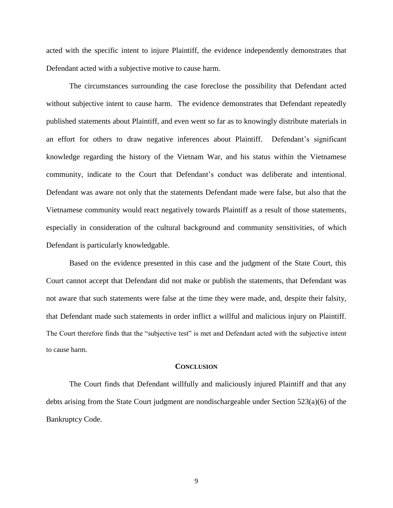acted with the specific intent to injure Plaintiff, the evidence independently demonstrates that Defendant acted with a subjective motive to cause harm.

The circumstances surrounding the case foreclose the possibility that Defendant acted without subjective intent to cause harm. The evidence demonstrates that Defendant repeatedly published statements about Plaintiff, and even went so far as to knowingly distribute materials in an effort for others to draw negative inferences about Plaintiff. Defendant's significant knowledge regarding the history of the Vietnam War, and his status within the Vietnamese community, indicate to the Court that Defendant's conduct was deliberate and intentional. Defendant was aware not only that the statements Defendant made were false, but also that the Vietnamese community would react negatively towards Plaintiff as a result of those statements, especially in consideration of the cultural background and community sensitivities, of which Defendant is particularly knowledgable.

Based on the evidence presented in this case and the judgment of the State Court, this Court cannot accept that Defendant did not make or publish the statements, that Defendant was not aware that such statements were false at the time they were made, and, despite their falsity, that Defendant made such statements in order inflict a willful and malicious injury on Plaintiff. The Court therefore finds that the "subjective test" is met and Defendant acted with the subjective intent to cause harm.

#### **CONCLUSION**

The Court finds that Defendant willfully and maliciously injured Plaintiff and that any debts arising from the State Court judgment are nondischargeable under Section 523(a)(6) of the Bankruptcy Code.